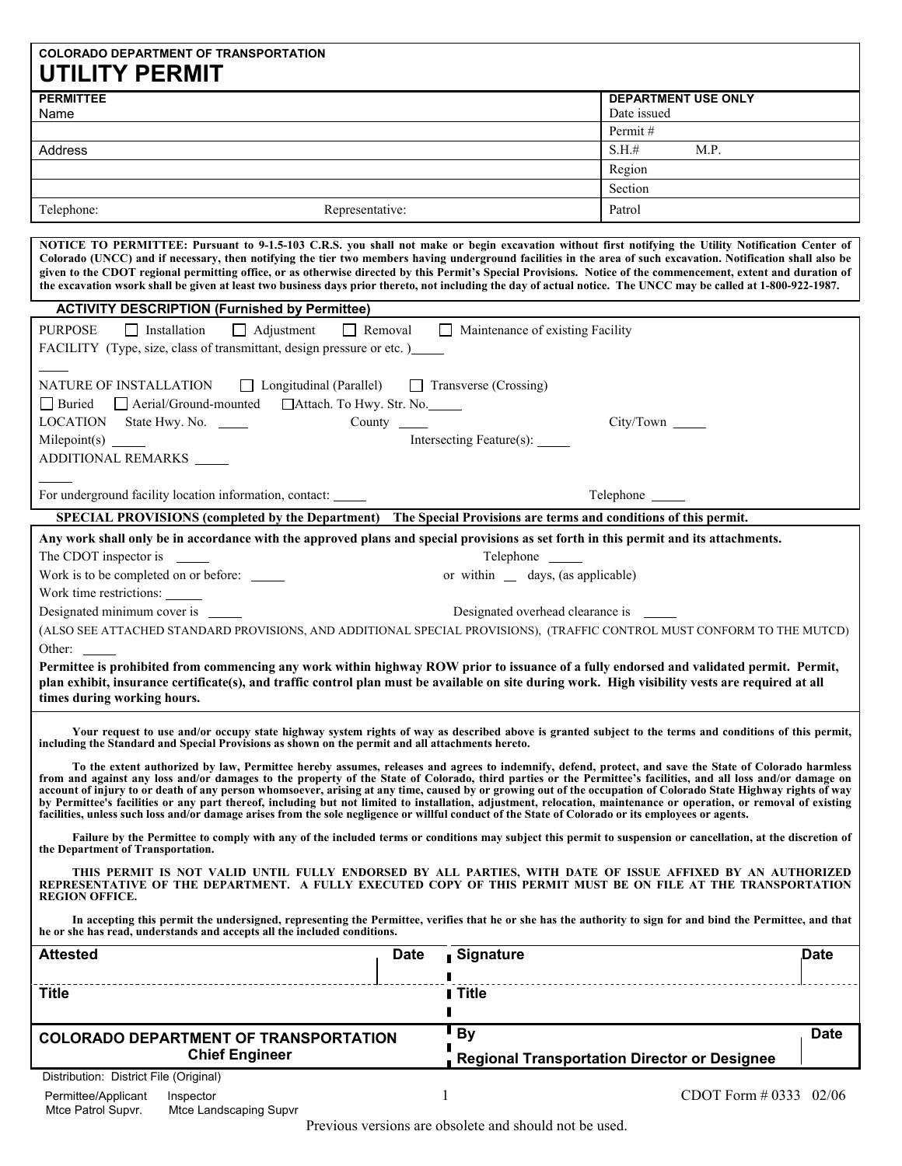# **COLORADO DEPARTMENT OF TRANSPORTATION UTILITY PERMIT**

| <b>PERMITTEE</b> |                 | <b>DEPARTMENT USE ONLY</b> |
|------------------|-----------------|----------------------------|
| Name             |                 | Date issued                |
|                  |                 | Permit#                    |
| Address          |                 | S.H.#<br>M.P.              |
|                  |                 | Region                     |
|                  |                 | Section                    |
| Telephone:       | Representative: | Patrol                     |

**NOTICE TO PERMITTEE: Pursuant to 9-1.5-103 C.R.S. you shall not make or begin excavation without first notifying the Utility Notification Center of Colorado (UNCC) and if necessary, then notifying the tier two members having underground facilities in the area of such excavation. Notification shall also be given to the CDOT regional permitting office, or as otherwise directed by this Permit's Special Provisions. Notice of the commencement, extent and duration of the excavation wsork shall be given at least two business days prior thereto, not including the day of actual notice. The UNCC may be called at 1-800-922-1987.** 

| <b>ACTIVITY DESCRIPTION (Furnished by Permittee)</b>                                                                                                                                                                                                                                                                                                                                                                                                                                                                                                                                                                                                                                                                                                                                                                  |                      |                                                                                                                                                             |             |  |
|-----------------------------------------------------------------------------------------------------------------------------------------------------------------------------------------------------------------------------------------------------------------------------------------------------------------------------------------------------------------------------------------------------------------------------------------------------------------------------------------------------------------------------------------------------------------------------------------------------------------------------------------------------------------------------------------------------------------------------------------------------------------------------------------------------------------------|----------------------|-------------------------------------------------------------------------------------------------------------------------------------------------------------|-------------|--|
| $\Box$ Adjustment<br><b>PURPOSE</b><br>$\Box$ Installation<br>FACILITY (Type, size, class of transmittant, design pressure or etc.)                                                                                                                                                                                                                                                                                                                                                                                                                                                                                                                                                                                                                                                                                   | $\Box$ Removal       | Maintenance of existing Facility                                                                                                                            |             |  |
| NATURE OF INSTALLATION<br>□ Longitudinal (Parallel) □ Transverse (Crossing)<br>□ Buried □ Aerial/Ground-mounted □ Attach. To Hwy. Str. No.                                                                                                                                                                                                                                                                                                                                                                                                                                                                                                                                                                                                                                                                            |                      |                                                                                                                                                             |             |  |
| LOCATION State Hwy. No. _____                                                                                                                                                                                                                                                                                                                                                                                                                                                                                                                                                                                                                                                                                                                                                                                         | County $\_\_\_\_\_\$ | City/Town                                                                                                                                                   |             |  |
|                                                                                                                                                                                                                                                                                                                                                                                                                                                                                                                                                                                                                                                                                                                                                                                                                       |                      | Intersecting Feature(s): ______                                                                                                                             |             |  |
| ADDITIONAL REMARKS                                                                                                                                                                                                                                                                                                                                                                                                                                                                                                                                                                                                                                                                                                                                                                                                    |                      |                                                                                                                                                             |             |  |
| For underground facility location information, contact: ______                                                                                                                                                                                                                                                                                                                                                                                                                                                                                                                                                                                                                                                                                                                                                        |                      | Telephone ________                                                                                                                                          |             |  |
| SPECIAL PROVISIONS (completed by the Department) The Special Provisions are terms and conditions of this permit.                                                                                                                                                                                                                                                                                                                                                                                                                                                                                                                                                                                                                                                                                                      |                      |                                                                                                                                                             |             |  |
| Any work shall only be in accordance with the approved plans and special provisions as set forth in this permit and its attachments.<br>The CDOT inspector is                                                                                                                                                                                                                                                                                                                                                                                                                                                                                                                                                                                                                                                         |                      | Telephone                                                                                                                                                   |             |  |
| Work is to be completed on or before: ______                                                                                                                                                                                                                                                                                                                                                                                                                                                                                                                                                                                                                                                                                                                                                                          |                      | or within _ days, (as applicable)                                                                                                                           |             |  |
| Work time restrictions:                                                                                                                                                                                                                                                                                                                                                                                                                                                                                                                                                                                                                                                                                                                                                                                               |                      |                                                                                                                                                             |             |  |
| Designated minimum cover is _______<br>Designated overhead clearance is _______                                                                                                                                                                                                                                                                                                                                                                                                                                                                                                                                                                                                                                                                                                                                       |                      |                                                                                                                                                             |             |  |
|                                                                                                                                                                                                                                                                                                                                                                                                                                                                                                                                                                                                                                                                                                                                                                                                                       |                      | (ALSO SEE ATTACHED STANDARD PROVISIONS, AND ADDITIONAL SPECIAL PROVISIONS), (TRAFFIC CONTROL MUST CONFORM TO THE MUTCD)                                     |             |  |
| Other:                                                                                                                                                                                                                                                                                                                                                                                                                                                                                                                                                                                                                                                                                                                                                                                                                |                      |                                                                                                                                                             |             |  |
| Permittee is prohibited from commencing any work within highway ROW prior to issuance of a fully endorsed and validated permit. Permit,<br>plan exhibit, insurance certificate(s), and traffic control plan must be available on site during work. High visibility vests are required at all<br>times during working hours.                                                                                                                                                                                                                                                                                                                                                                                                                                                                                           |                      |                                                                                                                                                             |             |  |
| Your request to use and/or occupy state highway system rights of way as described above is granted subject to the terms and conditions of this permit,<br>including the Standard and Special Provisions as shown on the permit and all attachments hereto.                                                                                                                                                                                                                                                                                                                                                                                                                                                                                                                                                            |                      |                                                                                                                                                             |             |  |
| To the extent authorized by law, Permittee hereby assumes, releases and agrees to indemnify, defend, protect, and save the State of Colorado harmless<br>from and against any loss and/or damages to the property of the State of Colorado, third parties or the Permittee's facilities, and all loss and/or damage on<br>account of injury to or death of any person whomsoever, arising at any time, caused by or growing out of the occupation of Colorado State Highway rights of way<br>by Permittee's facilities or any part thereof, including but not limited to installation, adjustment, relocation, maintenance or operation, or removal of existing<br>facilities, unless such loss and/or damage arises from the sole negligence or willful conduct of the State of Colorado or its employees or agents. |                      |                                                                                                                                                             |             |  |
| the Department of Transportation.                                                                                                                                                                                                                                                                                                                                                                                                                                                                                                                                                                                                                                                                                                                                                                                     |                      | Failure by the Permittee to comply with any of the included terms or conditions may subject this permit to suspension or cancellation, at the discretion of |             |  |
| THIS PERMIT IS NOT VALID UNTIL FULLY ENDORSED BY ALL PARTIES, WITH DATE OF ISSUE AFFIXED BY AN AUTHORIZED<br>REPRESENTATIVE OF THE DEPARTMENT. A FULLY EXECUTED COPY OF THIS PERMIT MUST BE ON FILE AT THE TRANSPORTATION<br><b>REGION OFFICE.</b>                                                                                                                                                                                                                                                                                                                                                                                                                                                                                                                                                                    |                      |                                                                                                                                                             |             |  |
| In accepting this permit the undersigned, representing the Permittee, verifies that he or she has the authority to sign for and bind the Permittee, and that<br>he or she has read, understands and accepts all the included conditions.                                                                                                                                                                                                                                                                                                                                                                                                                                                                                                                                                                              |                      |                                                                                                                                                             |             |  |
| Attested                                                                                                                                                                                                                                                                                                                                                                                                                                                                                                                                                                                                                                                                                                                                                                                                              | Date                 | Signature                                                                                                                                                   | Date.       |  |
| <b>Title</b>                                                                                                                                                                                                                                                                                                                                                                                                                                                                                                                                                                                                                                                                                                                                                                                                          |                      | I Title                                                                                                                                                     |             |  |
| <b>COLORADO DEPARTMENT OF TRANSPORTATION</b>                                                                                                                                                                                                                                                                                                                                                                                                                                                                                                                                                                                                                                                                                                                                                                          |                      | <b>By</b>                                                                                                                                                   | <b>Date</b> |  |
| <b>Chief Engineer</b>                                                                                                                                                                                                                                                                                                                                                                                                                                                                                                                                                                                                                                                                                                                                                                                                 |                      | <b>Regional Transportation Director or Designee</b>                                                                                                         |             |  |
| Distribution: District File (Original)                                                                                                                                                                                                                                                                                                                                                                                                                                                                                                                                                                                                                                                                                                                                                                                |                      |                                                                                                                                                             |             |  |

Permittee/Applicant Inspector **1** CDOT Form # 0333 02/06<br>Mtce Patrol Supvr. Mtce Landscaping Supvr

Mtce Landscaping Supvr.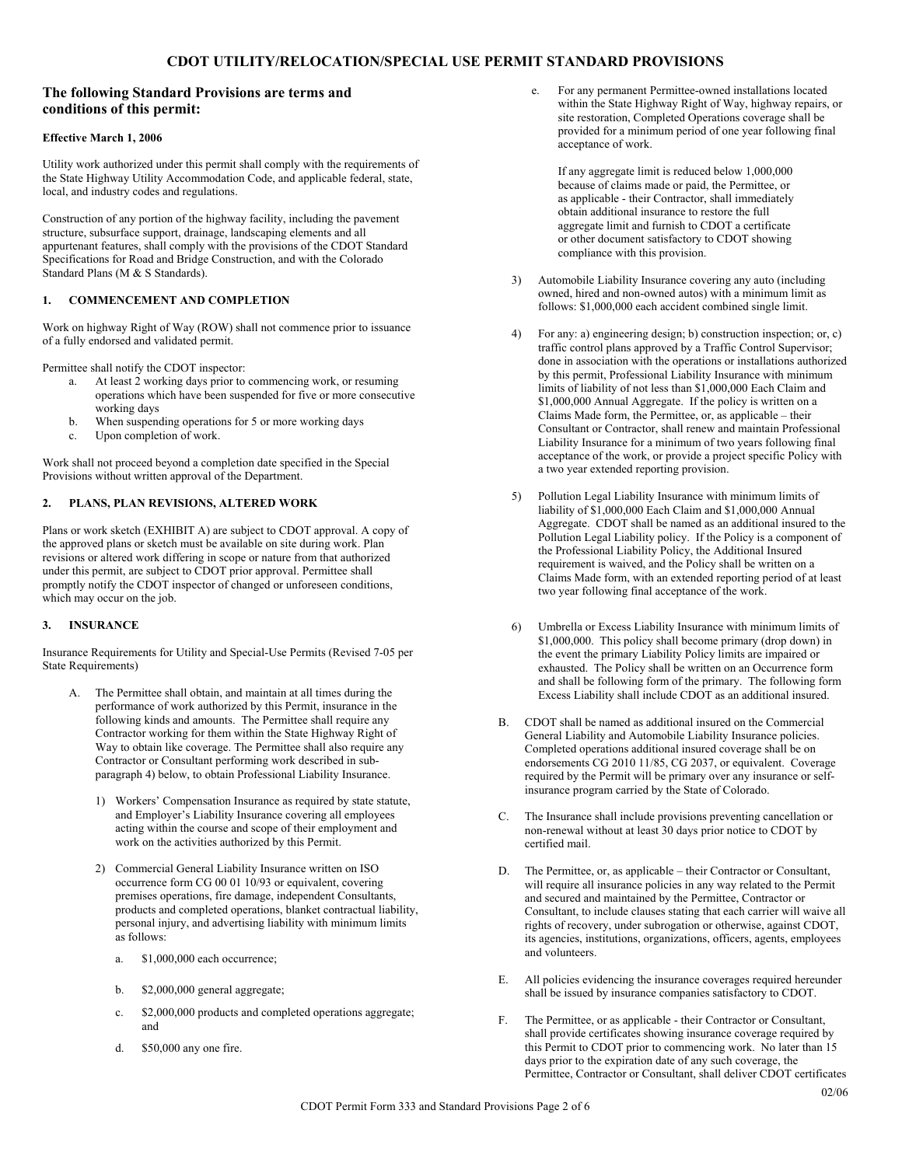## **The following Standard Provisions are terms and conditions of this permit:**

## **Effective March 1, 2006**

Utility work authorized under this permit shall comply with the requirements of the State Highway Utility Accommodation Code, and applicable federal, state, local, and industry codes and regulations.

Construction of any portion of the highway facility, including the pavement structure, subsurface support, drainage, landscaping elements and all appurtenant features, shall comply with the provisions of the CDOT Standard Specifications for Road and Bridge Construction, and with the Colorado Standard Plans (M & S Standards).

## **1. COMMENCEMENT AND COMPLETION**

Work on highway Right of Way (ROW) shall not commence prior to issuance of a fully endorsed and validated permit.

Permittee shall notify the CDOT inspector:

- a. At least 2 working days prior to commencing work, or resuming operations which have been suspended for five or more consecutive working days
- b. When suspending operations for 5 or more working days
- c. Upon completion of work.

Work shall not proceed beyond a completion date specified in the Special Provisions without written approval of the Department.

## **2. PLANS, PLAN REVISIONS, ALTERED WORK**

Plans or work sketch (EXHIBIT A) are subject to CDOT approval. A copy of the approved plans or sketch must be available on site during work. Plan revisions or altered work differing in scope or nature from that authorized under this permit, are subject to CDOT prior approval. Permittee shall promptly notify the CDOT inspector of changed or unforeseen conditions, which may occur on the job.

#### **3. INSURANCE**

Insurance Requirements for Utility and Special-Use Permits (Revised 7-05 per State Requirements)

- A. The Permittee shall obtain, and maintain at all times during the performance of work authorized by this Permit, insurance in the following kinds and amounts. The Permittee shall require any Contractor working for them within the State Highway Right of Way to obtain like coverage. The Permittee shall also require any Contractor or Consultant performing work described in subparagraph 4) below, to obtain Professional Liability Insurance.
	- 1) Workers' Compensation Insurance as required by state statute, and Employer's Liability Insurance covering all employees acting within the course and scope of their employment and work on the activities authorized by this Permit.
	- 2) Commercial General Liability Insurance written on ISO occurrence form CG 00 01 10/93 or equivalent, covering premises operations, fire damage, independent Consultants, products and completed operations, blanket contractual liability, personal injury, and advertising liability with minimum limits as follows:
		- a. \$1,000,000 each occurrence;
		- b. \$2,000,000 general aggregate;
		- c. \$2,000,000 products and completed operations aggregate; and
		- d. \$50,000 any one fire.

e. For any permanent Permittee-owned installations located within the State Highway Right of Way, highway repairs, or site restoration, Completed Operations coverage shall be provided for a minimum period of one year following final acceptance of work.

If any aggregate limit is reduced below 1,000,000 because of claims made or paid, the Permittee, or as applicable - their Contractor, shall immediately obtain additional insurance to restore the full aggregate limit and furnish to CDOT a certificate or other document satisfactory to CDOT showing compliance with this provision.

- 3) Automobile Liability Insurance covering any auto (including owned, hired and non-owned autos) with a minimum limit as follows: \$1,000,000 each accident combined single limit.
- 4) For any: a) engineering design; b) construction inspection; or, c) traffic control plans approved by a Traffic Control Supervisor; done in association with the operations or installations authorized by this permit, Professional Liability Insurance with minimum limits of liability of not less than \$1,000,000 Each Claim and \$1,000,000 Annual Aggregate. If the policy is written on a Claims Made form, the Permittee, or, as applicable – their Consultant or Contractor, shall renew and maintain Professional Liability Insurance for a minimum of two years following final acceptance of the work, or provide a project specific Policy with a two year extended reporting provision.
- 5) Pollution Legal Liability Insurance with minimum limits of liability of \$1,000,000 Each Claim and \$1,000,000 Annual Aggregate. CDOT shall be named as an additional insured to the Pollution Legal Liability policy. If the Policy is a component of the Professional Liability Policy, the Additional Insured requirement is waived, and the Policy shall be written on a Claims Made form, with an extended reporting period of at least two year following final acceptance of the work.
- 6) Umbrella or Excess Liability Insurance with minimum limits of \$1,000,000. This policy shall become primary (drop down) in the event the primary Liability Policy limits are impaired or exhausted. The Policy shall be written on an Occurrence form and shall be following form of the primary. The following form Excess Liability shall include CDOT as an additional insured.
- B. CDOT shall be named as additional insured on the Commercial General Liability and Automobile Liability Insurance policies. Completed operations additional insured coverage shall be on endorsements CG 2010 11/85, CG 2037, or equivalent. Coverage required by the Permit will be primary over any insurance or selfinsurance program carried by the State of Colorado.
- C. The Insurance shall include provisions preventing cancellation or non-renewal without at least 30 days prior notice to CDOT by certified mail.
- D. The Permittee, or, as applicable their Contractor or Consultant, will require all insurance policies in any way related to the Permit and secured and maintained by the Permittee, Contractor or Consultant, to include clauses stating that each carrier will waive all rights of recovery, under subrogation or otherwise, against CDOT, its agencies, institutions, organizations, officers, agents, employees and volunteers.
- E. All policies evidencing the insurance coverages required hereunder shall be issued by insurance companies satisfactory to CDOT.
- F. The Permittee, or as applicable their Contractor or Consultant, shall provide certificates showing insurance coverage required by this Permit to CDOT prior to commencing work. No later than 15 days prior to the expiration date of any such coverage, the Permittee, Contractor or Consultant, shall deliver CDOT certificates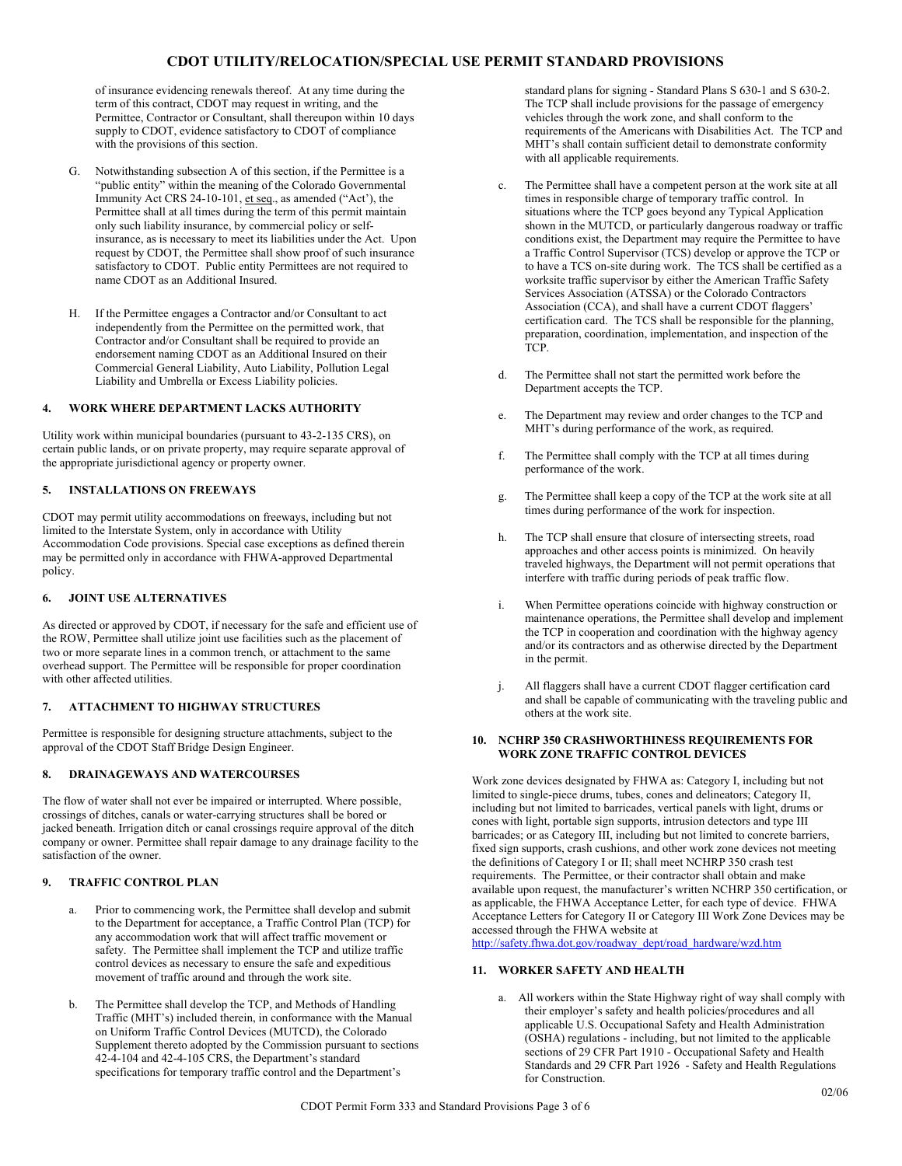of insurance evidencing renewals thereof. At any time during the term of this contract, CDOT may request in writing, and the Permittee, Contractor or Consultant, shall thereupon within 10 days supply to CDOT, evidence satisfactory to CDOT of compliance with the provisions of this section.

- G. Notwithstanding subsection A of this section, if the Permittee is a "public entity" within the meaning of the Colorado Governmental Immunity Act CRS 24-10-101, et seq., as amended ("Act'), the Permittee shall at all times during the term of this permit maintain only such liability insurance, by commercial policy or selfinsurance, as is necessary to meet its liabilities under the Act. Upon request by CDOT, the Permittee shall show proof of such insurance satisfactory to CDOT. Public entity Permittees are not required to name CDOT as an Additional Insured.
- H. If the Permittee engages a Contractor and/or Consultant to act independently from the Permittee on the permitted work, that Contractor and/or Consultant shall be required to provide an endorsement naming CDOT as an Additional Insured on their Commercial General Liability, Auto Liability, Pollution Legal Liability and Umbrella or Excess Liability policies.

## **4. WORK WHERE DEPARTMENT LACKS AUTHORITY**

Utility work within municipal boundaries (pursuant to 43-2-135 CRS), on certain public lands, or on private property, may require separate approval of the appropriate jurisdictional agency or property owner.

## **5. INSTALLATIONS ON FREEWAYS**

CDOT may permit utility accommodations on freeways, including but not limited to the Interstate System, only in accordance with Utility Accommodation Code provisions. Special case exceptions as defined therein may be permitted only in accordance with FHWA-approved Departmental policy.

## **6. JOINT USE ALTERNATIVES**

As directed or approved by CDOT, if necessary for the safe and efficient use of the ROW, Permittee shall utilize joint use facilities such as the placement of two or more separate lines in a common trench, or attachment to the same overhead support. The Permittee will be responsible for proper coordination with other affected utilities.

## **7. ATTACHMENT TO HIGHWAY STRUCTURES**

Permittee is responsible for designing structure attachments, subject to the approval of the CDOT Staff Bridge Design Engineer.

## **8. DRAINAGEWAYS AND WATERCOURSES**

The flow of water shall not ever be impaired or interrupted. Where possible, crossings of ditches, canals or water-carrying structures shall be bored or jacked beneath. Irrigation ditch or canal crossings require approval of the ditch company or owner. Permittee shall repair damage to any drainage facility to the satisfaction of the owner.

## **9. TRAFFIC CONTROL PLAN**

- a. Prior to commencing work, the Permittee shall develop and submit to the Department for acceptance, a Traffic Control Plan (TCP) for any accommodation work that will affect traffic movement or safety. The Permittee shall implement the TCP and utilize traffic control devices as necessary to ensure the safe and expeditious movement of traffic around and through the work site.
- b. The Permittee shall develop the TCP, and Methods of Handling Traffic (MHT's) included therein, in conformance with the Manual on Uniform Traffic Control Devices (MUTCD), the Colorado Supplement thereto adopted by the Commission pursuant to sections 42-4-104 and 42-4-105 CRS, the Department's standard specifications for temporary traffic control and the Department's

standard plans for signing - Standard Plans S 630-1 and S 630-2. The TCP shall include provisions for the passage of emergency vehicles through the work zone, and shall conform to the requirements of the Americans with Disabilities Act. The TCP and MHT's shall contain sufficient detail to demonstrate conformity with all applicable requirements.

- c. The Permittee shall have a competent person at the work site at all times in responsible charge of temporary traffic control. In situations where the TCP goes beyond any Typical Application shown in the MUTCD, or particularly dangerous roadway or traffic conditions exist, the Department may require the Permittee to have a Traffic Control Supervisor (TCS) develop or approve the TCP or to have a TCS on-site during work. The TCS shall be certified as a worksite traffic supervisor by either the American Traffic Safety Services Association (ATSSA) or the Colorado Contractors Association (CCA), and shall have a current CDOT flaggers' certification card. The TCS shall be responsible for the planning, preparation, coordination, implementation, and inspection of the TCP.
- d. The Permittee shall not start the permitted work before the Department accepts the TCP.
- e. The Department may review and order changes to the TCP and MHT's during performance of the work, as required.
- f. The Permittee shall comply with the TCP at all times during performance of the work.
- g. The Permittee shall keep a copy of the TCP at the work site at all times during performance of the work for inspection.
- h. The TCP shall ensure that closure of intersecting streets, road approaches and other access points is minimized. On heavily traveled highways, the Department will not permit operations that interfere with traffic during periods of peak traffic flow.
- i. When Permittee operations coincide with highway construction or maintenance operations, the Permittee shall develop and implement the TCP in cooperation and coordination with the highway agency and/or its contractors and as otherwise directed by the Department in the permit.
- j. All flaggers shall have a current CDOT flagger certification card and shall be capable of communicating with the traveling public and others at the work site.

## **10. NCHRP 350 CRASHWORTHINESS REQUIREMENTS FOR WORK ZONE TRAFFIC CONTROL DEVICES**

Work zone devices designated by FHWA as: Category I, including but not limited to single-piece drums, tubes, cones and delineators; Category II, including but not limited to barricades, vertical panels with light, drums or cones with light, portable sign supports, intrusion detectors and type III barricades; or as Category III, including but not limited to concrete barriers, fixed sign supports, crash cushions, and other work zone devices not meeting the definitions of Category I or II; shall meet NCHRP 350 crash test requirements. The Permittee, or their contractor shall obtain and make available upon request, the manufacturer's written NCHRP 350 certification, or as applicable, the FHWA Acceptance Letter, for each type of device. FHWA Acceptance Letters for Category II or Category III Work Zone Devices may be accessed through the FHWA website at

http://safety.fhwa.dot.gov/roadway\_dept/road\_hardware/wzd.htm

## **11. WORKER SAFETY AND HEALTH**

a. All workers within the State Highway right of way shall comply with their employer's safety and health policies/procedures and all applicable U.S. Occupational Safety and Health Administration (OSHA) regulations - including, but not limited to the applicable sections of 29 CFR Part 1910 - Occupational Safety and Health Standards and 29 CFR Part 1926 - Safety and Health Regulations for Construction.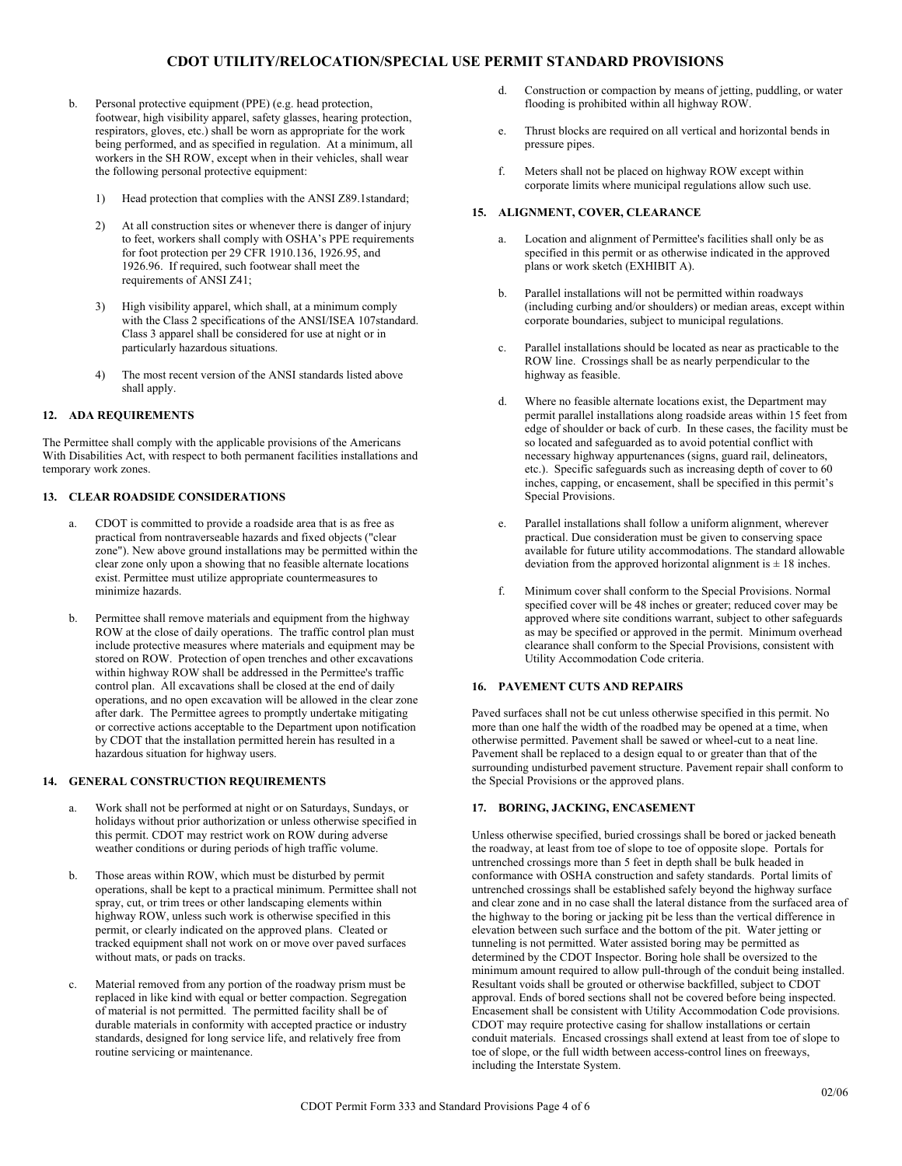- b. Personal protective equipment (PPE) (e.g. head protection, footwear, high visibility apparel, safety glasses, hearing protection, respirators, gloves, etc.) shall be worn as appropriate for the work being performed, and as specified in regulation. At a minimum, all workers in the SH ROW, except when in their vehicles, shall wear the following personal protective equipment:
	- 1) Head protection that complies with the ANSI Z89.1standard;
	- 2) At all construction sites or whenever there is danger of injury to feet, workers shall comply with OSHA's PPE requirements for foot protection per 29 CFR 1910.136, 1926.95, and 1926.96. If required, such footwear shall meet the requirements of ANSI Z41;
	- High visibility apparel, which shall, at a minimum comply with the Class 2 specifications of the ANSI/ISEA 107standard. Class 3 apparel shall be considered for use at night or in particularly hazardous situations.
	- 4) The most recent version of the ANSI standards listed above shall apply.

#### **12. ADA REQUIREMENTS**

The Permittee shall comply with the applicable provisions of the Americans With Disabilities Act, with respect to both permanent facilities installations and temporary work zones.

#### **13. CLEAR ROADSIDE CONSIDERATIONS**

- CDOT is committed to provide a roadside area that is as free as practical from nontraverseable hazards and fixed objects ("clear zone"). New above ground installations may be permitted within the clear zone only upon a showing that no feasible alternate locations exist. Permittee must utilize appropriate countermeasures to minimize hazards.
- b. Permittee shall remove materials and equipment from the highway ROW at the close of daily operations. The traffic control plan must include protective measures where materials and equipment may be stored on ROW. Protection of open trenches and other excavations within highway ROW shall be addressed in the Permittee's traffic control plan. All excavations shall be closed at the end of daily operations, and no open excavation will be allowed in the clear zone after dark. The Permittee agrees to promptly undertake mitigating or corrective actions acceptable to the Department upon notification by CDOT that the installation permitted herein has resulted in a hazardous situation for highway users.

#### **14. GENERAL CONSTRUCTION REQUIREMENTS**

- a. Work shall not be performed at night or on Saturdays, Sundays, or holidays without prior authorization or unless otherwise specified in this permit. CDOT may restrict work on ROW during adverse weather conditions or during periods of high traffic volume.
- b. Those areas within ROW, which must be disturbed by permit operations, shall be kept to a practical minimum. Permittee shall not spray, cut, or trim trees or other landscaping elements within highway ROW, unless such work is otherwise specified in this permit, or clearly indicated on the approved plans. Cleated or tracked equipment shall not work on or move over paved surfaces without mats, or pads on tracks.
- c. Material removed from any portion of the roadway prism must be replaced in like kind with equal or better compaction. Segregation of material is not permitted. The permitted facility shall be of durable materials in conformity with accepted practice or industry standards, designed for long service life, and relatively free from routine servicing or maintenance.
- d. Construction or compaction by means of jetting, puddling, or water flooding is prohibited within all highway ROW.
- e. Thrust blocks are required on all vertical and horizontal bends in pressure pipes.
- f. Meters shall not be placed on highway ROW except within corporate limits where municipal regulations allow such use.

#### **15. ALIGNMENT, COVER, CLEARANCE**

- a. Location and alignment of Permittee's facilities shall only be as specified in this permit or as otherwise indicated in the approved plans or work sketch (EXHIBIT A).
- b. Parallel installations will not be permitted within roadways (including curbing and/or shoulders) or median areas, except within corporate boundaries, subject to municipal regulations.
- c. Parallel installations should be located as near as practicable to the ROW line. Crossings shall be as nearly perpendicular to the highway as feasible.
- d. Where no feasible alternate locations exist, the Department may permit parallel installations along roadside areas within 15 feet from edge of shoulder or back of curb. In these cases, the facility must be so located and safeguarded as to avoid potential conflict with necessary highway appurtenances (signs, guard rail, delineators, etc.). Specific safeguards such as increasing depth of cover to 60 inches, capping, or encasement, shall be specified in this permit's Special Provisions.
- e. Parallel installations shall follow a uniform alignment, wherever practical. Due consideration must be given to conserving space available for future utility accommodations. The standard allowable deviation from the approved horizontal alignment is  $\pm$  18 inches.
- f. Minimum cover shall conform to the Special Provisions. Normal specified cover will be 48 inches or greater; reduced cover may be approved where site conditions warrant, subject to other safeguards as may be specified or approved in the permit. Minimum overhead clearance shall conform to the Special Provisions, consistent with Utility Accommodation Code criteria.

#### **16. PAVEMENT CUTS AND REPAIRS**

Paved surfaces shall not be cut unless otherwise specified in this permit. No more than one half the width of the roadbed may be opened at a time, when otherwise permitted. Pavement shall be sawed or wheel-cut to a neat line. Pavement shall be replaced to a design equal to or greater than that of the surrounding undisturbed pavement structure. Pavement repair shall conform to the Special Provisions or the approved plans.

## **17. BORING, JACKING, ENCASEMENT**

Unless otherwise specified, buried crossings shall be bored or jacked beneath the roadway, at least from toe of slope to toe of opposite slope. Portals for untrenched crossings more than 5 feet in depth shall be bulk headed in conformance with OSHA construction and safety standards. Portal limits of untrenched crossings shall be established safely beyond the highway surface and clear zone and in no case shall the lateral distance from the surfaced area of the highway to the boring or jacking pit be less than the vertical difference in elevation between such surface and the bottom of the pit. Water jetting or tunneling is not permitted. Water assisted boring may be permitted as determined by the CDOT Inspector. Boring hole shall be oversized to the minimum amount required to allow pull-through of the conduit being installed. Resultant voids shall be grouted or otherwise backfilled, subject to CDOT approval. Ends of bored sections shall not be covered before being inspected. Encasement shall be consistent with Utility Accommodation Code provisions. CDOT may require protective casing for shallow installations or certain conduit materials. Encased crossings shall extend at least from toe of slope to toe of slope, or the full width between access-control lines on freeways, including the Interstate System.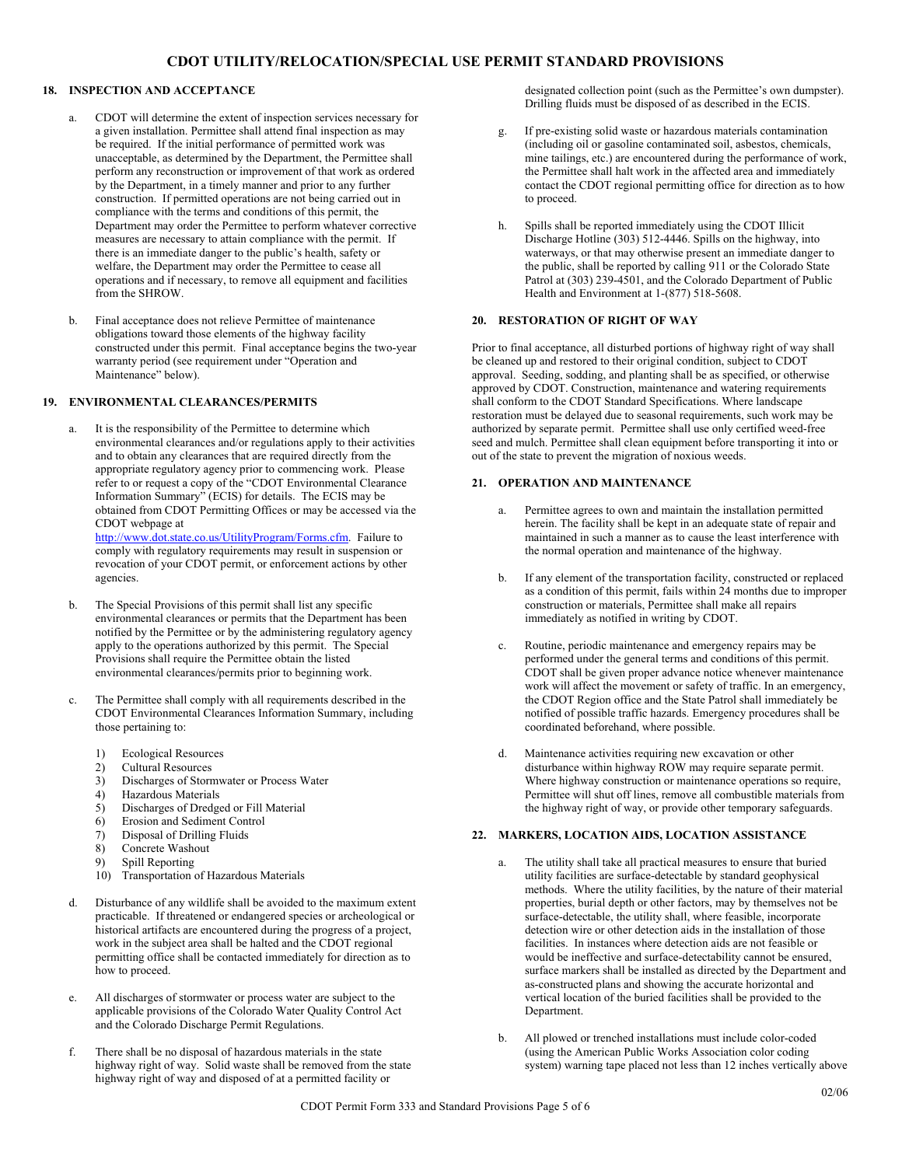## **18. INSPECTION AND ACCEPTANCE**

- a. CDOT will determine the extent of inspection services necessary for a given installation. Permittee shall attend final inspection as may be required. If the initial performance of permitted work was unacceptable, as determined by the Department, the Permittee shall perform any reconstruction or improvement of that work as ordered by the Department, in a timely manner and prior to any further construction. If permitted operations are not being carried out in compliance with the terms and conditions of this permit, the Department may order the Permittee to perform whatever corrective measures are necessary to attain compliance with the permit. If there is an immediate danger to the public's health, safety or welfare, the Department may order the Permittee to cease all operations and if necessary, to remove all equipment and facilities from the SHROW.
- b. Final acceptance does not relieve Permittee of maintenance obligations toward those elements of the highway facility constructed under this permit. Final acceptance begins the two-year warranty period (see requirement under "Operation and Maintenance" below).

## **19. ENVIRONMENTAL CLEARANCES/PERMITS**

- a. It is the responsibility of the Permittee to determine which environmental clearances and/or regulations apply to their activities and to obtain any clearances that are required directly from the appropriate regulatory agency prior to commencing work. Please refer to or request a copy of the "CDOT Environmental Clearance Information Summary" (ECIS) for details. The ECIS may be obtained from CDOT Permitting Offices or may be accessed via the CDOT webpage at http://www.dot.state.co.us/UtilityProgram/Forms.cfm. Failure to comply with regulatory requirements may result in suspension or revocation of your CDOT permit, or enforcement actions by other agencies.
- b. The Special Provisions of this permit shall list any specific environmental clearances or permits that the Department has been notified by the Permittee or by the administering regulatory agency apply to the operations authorized by this permit. The Special Provisions shall require the Permittee obtain the listed environmental clearances/permits prior to beginning work.
- c. The Permittee shall comply with all requirements described in the CDOT Environmental Clearances Information Summary, including those pertaining to:
	- 1) Ecological Resources
	- 2) Cultural Resources
	- 3) Discharges of Stormwater or Process Water
	- 4) Hazardous Materials<br>5) Discharges of Dredge
	- 5) Discharges of Dredged or Fill Material
	- 6) Erosion and Sediment Control
	- 7) Disposal of Drilling Fluids
	- Concrete Washout
	- 9) Spill Reporting
	- 10) Transportation of Hazardous Materials
- d. Disturbance of any wildlife shall be avoided to the maximum extent practicable. If threatened or endangered species or archeological or historical artifacts are encountered during the progress of a project, work in the subject area shall be halted and the CDOT regional permitting office shall be contacted immediately for direction as to how to proceed.
- e. All discharges of stormwater or process water are subject to the applicable provisions of the Colorado Water Quality Control Act and the Colorado Discharge Permit Regulations.
- f. There shall be no disposal of hazardous materials in the state highway right of way. Solid waste shall be removed from the state highway right of way and disposed of at a permitted facility or

designated collection point (such as the Permittee's own dumpster). Drilling fluids must be disposed of as described in the ECIS.

- g. If pre-existing solid waste or hazardous materials contamination (including oil or gasoline contaminated soil, asbestos, chemicals, mine tailings, etc.) are encountered during the performance of work, the Permittee shall halt work in the affected area and immediately contact the CDOT regional permitting office for direction as to how to proceed.
- h. Spills shall be reported immediately using the CDOT Illicit Discharge Hotline (303) 512-4446. Spills on the highway, into waterways, or that may otherwise present an immediate danger to the public, shall be reported by calling 911 or the Colorado State Patrol at (303) 239-4501, and the Colorado Department of Public Health and Environment at 1-(877) 518-5608.

## **20. RESTORATION OF RIGHT OF WAY**

Prior to final acceptance, all disturbed portions of highway right of way shall be cleaned up and restored to their original condition, subject to CDOT approval. Seeding, sodding, and planting shall be as specified, or otherwise approved by CDOT. Construction, maintenance and watering requirements shall conform to the CDOT Standard Specifications. Where landscape restoration must be delayed due to seasonal requirements, such work may be authorized by separate permit. Permittee shall use only certified weed-free seed and mulch. Permittee shall clean equipment before transporting it into or out of the state to prevent the migration of noxious weeds.

#### **21. OPERATION AND MAINTENANCE**

- a. Permittee agrees to own and maintain the installation permitted herein. The facility shall be kept in an adequate state of repair and maintained in such a manner as to cause the least interference with the normal operation and maintenance of the highway.
- b. If any element of the transportation facility, constructed or replaced as a condition of this permit, fails within 24 months due to improper construction or materials, Permittee shall make all repairs immediately as notified in writing by CDOT.
- c. Routine, periodic maintenance and emergency repairs may be performed under the general terms and conditions of this permit. CDOT shall be given proper advance notice whenever maintenance work will affect the movement or safety of traffic. In an emergency, the CDOT Region office and the State Patrol shall immediately be notified of possible traffic hazards. Emergency procedures shall be coordinated beforehand, where possible.
- d. Maintenance activities requiring new excavation or other disturbance within highway ROW may require separate permit. Where highway construction or maintenance operations so require, Permittee will shut off lines, remove all combustible materials from the highway right of way, or provide other temporary safeguards.

## **22. MARKERS, LOCATION AIDS, LOCATION ASSISTANCE**

- The utility shall take all practical measures to ensure that buried utility facilities are surface-detectable by standard geophysical methods. Where the utility facilities, by the nature of their material properties, burial depth or other factors, may by themselves not be surface-detectable, the utility shall, where feasible, incorporate detection wire or other detection aids in the installation of those facilities. In instances where detection aids are not feasible or would be ineffective and surface-detectability cannot be ensured, surface markers shall be installed as directed by the Department and as-constructed plans and showing the accurate horizontal and vertical location of the buried facilities shall be provided to the Department.
- b. All plowed or trenched installations must include color-coded (using the American Public Works Association color coding system) warning tape placed not less than 12 inches vertically above